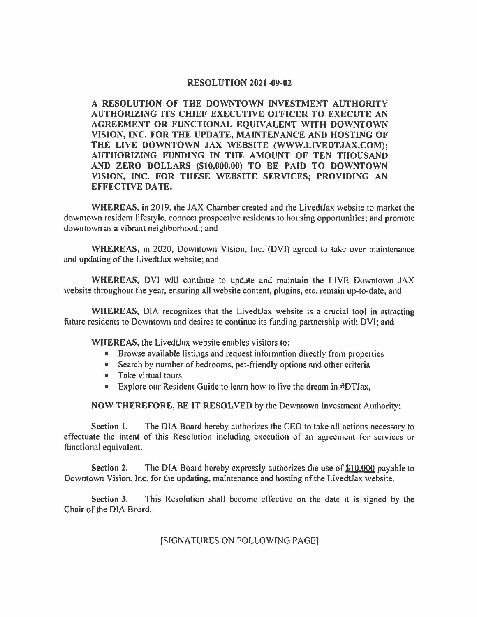## **RESOLUTION 2021-09-02**

**A RESOLUTION OF THE DOWNTOWN INVESTMENT AUTHORITY AUTHORIZING ITS CHIEF EXECUTIVE OFFICER TO EXECUTE AN AGREEMENT OR FUNCTIONAL EQUIVALENT WITH DOWNTOWN VISION, INC. FOR THE UPDATE, MAINTENANCE AND HOSTING OF THE LIVE DOWNTOWN JAX WEBSITE (WWW.LIVEDTJAX.COM); AUTHORIZING FUNDING IN THE AMOUNT OF TEN THOUSAND AND ZERO DOLLARS (\$10,000.00) TO BE PAID TO DOWNTOWN VISION, INC. FOR THESE WEBSITE SERVICES; PROVIDING AN EFFECTIVE DATE.** 

**WHEREAS,** in 2019, the JAX Chamber created and the LivedtJax website to market the downtown resident lifestyle, connect prospective residents to housing opportunities; and promote downtown as a vibrant neighborhood.; and

**WHEREAS,** in 2020, Downtown Vision, Inc. (DVI) agreed to take over maintenance and updating of the LivedtJax website; and

**WHEREAS,** DVI will continue to update and maintain the LIVE Downtown JAX website throughout the year, ensuring all website content, plugins, etc. remain up-to-date; and

**WHEREAS,** DIA recognizes that the LivedtJax website is a crucial tool in attracting future residents to Downtown and desires to continue its funding partnership with DVI; and

**WHEREAS,** the LivedtJax website enables visitors to:

- Browse available listings and request information directly from properties
- Search by number of bedrooms, pet-friendly options and other criteria
- Take virtual tours
- Explore our Resident Guide to learn how to live the dream in #DTJax,

**NOW THEREFORE, BE IT RESOLVED** by the Downtown Investment Authority:

**Section l.** The DIA Board hereby authorizes the CEO to take all actions necessary to effectuate the intent of this Resolution including execution of an agreement for services or functional equivalent.

**Section 2.** The DIA Board hereby expressly authorizes the use of \$10,000 payable to Downtown Vision, Inc. for the updating, maintenance and hosting of the LivedtJax website.

**Section 3.** This Resolution shall become effective on the date it is signed by the Chair of the DIA Board.

[SIGNATURES ON FOLLOWING PAGE]